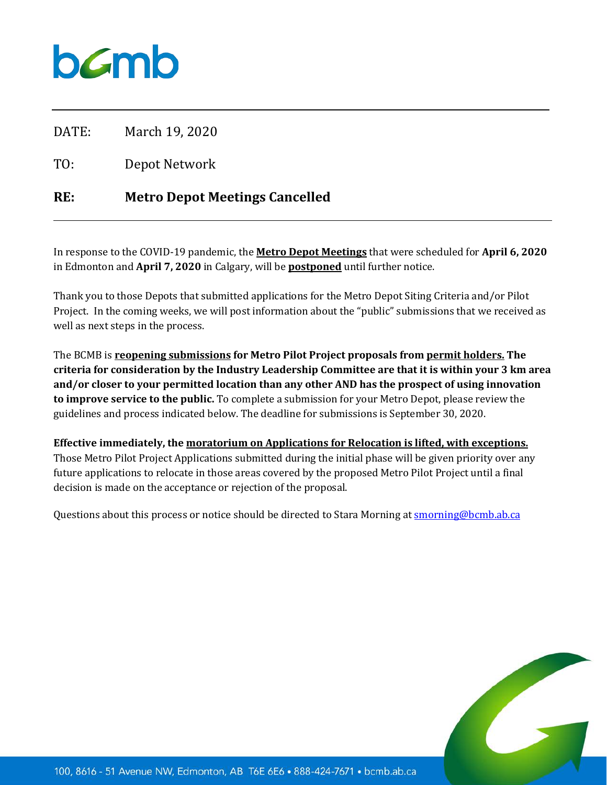# $b$ *C*mb

DATE: March 19, 2020

TO: Depot Network

## **RE: Metro Depot Meetings Cancelled**

In response to the COVID-19 pandemic, the **Metro Depot Meetings** that were scheduled for **April 6, 2020** in Edmonton and **April 7, 2020** in Calgary, will be **postponed** until further notice.

Thank you to those Depots that submitted applications for the Metro Depot Siting Criteria and/or Pilot Project. In the coming weeks, we will post information about the "public" submissions that we received as well as next steps in the process.

The BCMB is **reopening submissions for Metro Pilot Project proposals from permit holders. The criteria for consideration by the Industry Leadership Committee are that it is within your 3 km area and/or closer to your permitted location than any other AND has the prospect of using innovation to improve service to the public.** To complete a submission for your Metro Depot, please review the guidelines and process indicated below. The deadline for submissions is September 30, 2020.

**Effective immediately, the moratorium on Applications for Relocation is lifted, with exceptions.** Those Metro Pilot Project Applications submitted during the initial phase will be given priority over any future applications to relocate in those areas covered by the proposed Metro Pilot Project until a final decision is made on the acceptance or rejection of the proposal.

Questions about this process or notice should be directed to Stara Morning at [smorning@bcmb.ab.ca](mailto:smorning@bcmb.ab.ca)

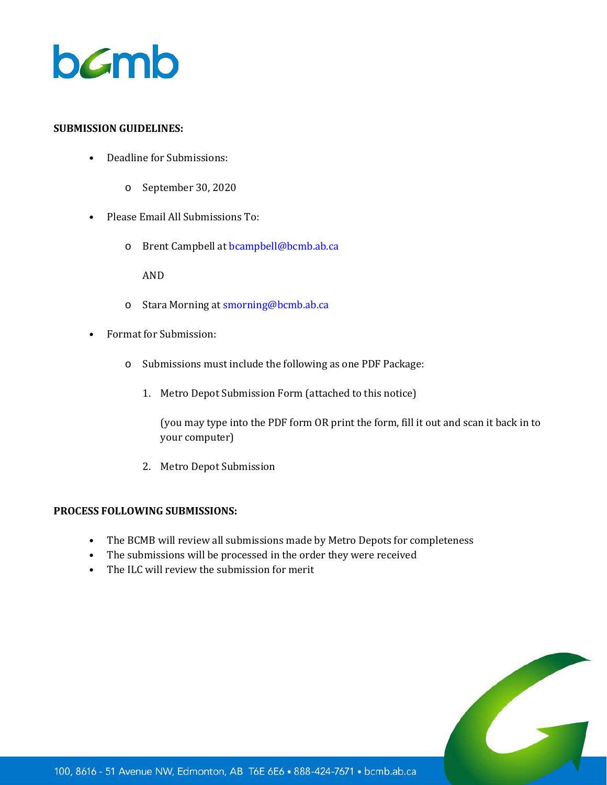

#### **SUBMISSION GUIDELINES:**

- Deadline for Submissions:
	- o September 30, 2020
- Please Email All Submissions To:
	- o Brent Campbell at bcampbell@bcmb.ab.ca

AND

- o Stara Morning at [smorning@bcmb.ab.ca](mailto:smorning@bcmb.ab.ca)
- Format for Submission:
	- o Submissions must include the following as one PDF Package:
		- 1. Metro Depot Submission Form (attached to this notice)

(you may type into the PDF form OR print the form, fill it out and scan it back in to your computer)

2. Metro Depot Submission

#### **PROCESS FOLLOWING SUBMISSIONS:**

- The BCMB will review all submissions made by Metro Depots for completeness
- The submissions will be processed in the order they were received
- The ILC will review the submission for merit